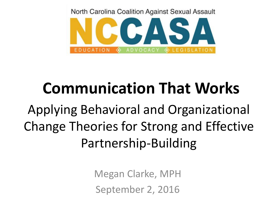North Carolina Coalition Against Sexual Assault



## **Communication That Works**

Applying Behavioral and Organizational Change Theories for Strong and Effective Partnership-Building

> Megan Clarke, MPH September 2, 2016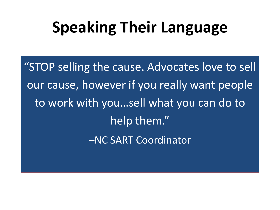### **Speaking Their Language**

"STOP selling the cause. Advocates love to sell our cause, however if you really want people to work with you…sell what you can do to help them." –NC SART Coordinator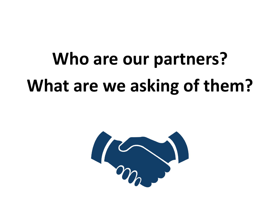# **Who are our partners? What are we asking of them?**

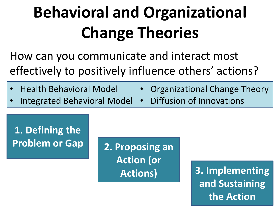## **Behavioral and Organizational Change Theories**

How can you communicate and interact most effectively to positively influence others' actions?

- Health Behavioral Model
- Integrated Behavioral Model
- Organizational Change Theory
- Diffusion of Innovations

#### **1. Defining the Problem or Gap 2. Proposing an**

**Action (or** 

**Actions) 3. Implementing and Sustaining the Action**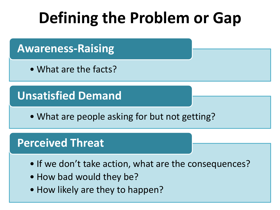## **Defining the Problem or Gap**

#### **Awareness-Raising**

• What are the facts?

#### **Unsatisfied Demand**

• What are people asking for but not getting?

#### **Perceived Threat**

- If we don't take action, what are the consequences?
- How bad would they be?
- How likely are they to happen?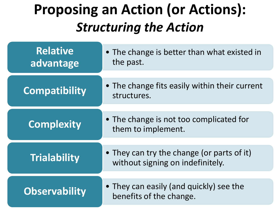### **Proposing an Action (or Actions):**  *Structuring the Action*

| <b>Relative</b><br>advantage | • The change is better than what existed in<br>the past.                       |
|------------------------------|--------------------------------------------------------------------------------|
| <b>Compatibility</b>         | • The change fits easily within their current<br>structures.                   |
| <b>Complexity</b>            | • The change is not too complicated for<br>them to implement.                  |
| <b>Trialability</b>          | • They can try the change (or parts of it)<br>without signing on indefinitely. |
| <b>Observability</b>         | • They can easily (and quickly) see the<br>benefits of the change.             |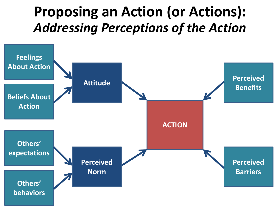### **Proposing an Action (or Actions):**  *Addressing Perceptions of the Action*

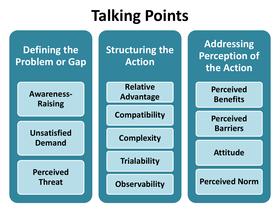## **Talking Points**

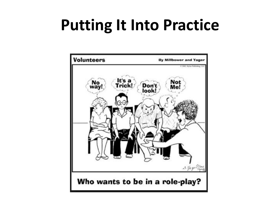### **Putting It Into Practice**

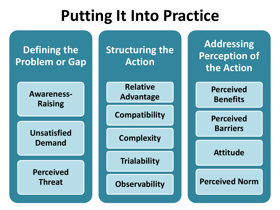### **Putting It Into Practice**

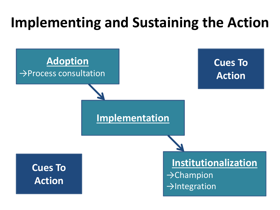### **Implementing and Sustaining the Action**